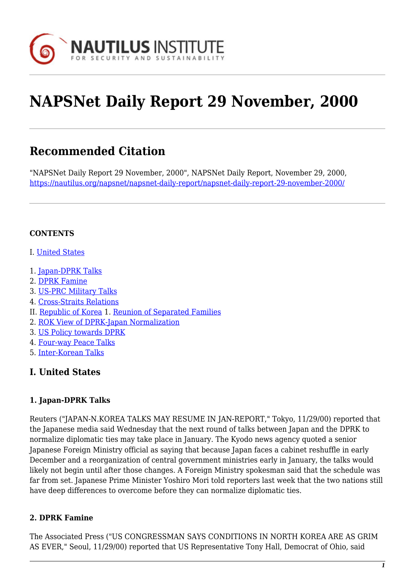

# **NAPSNet Daily Report 29 November, 2000**

# **Recommended Citation**

"NAPSNet Daily Report 29 November, 2000", NAPSNet Daily Report, November 29, 2000, <https://nautilus.org/napsnet/napsnet-daily-report/napsnet-daily-report-29-november-2000/>

### **CONTENTS**

- I. [United States](#page-0-0)
- 1. [Japan-DPRK Talks](#page-0-1)
- 2. [DPRK Famine](#page-0-2)
- 3. [US-PRC Military Talks](#page-1-0)
- 4. [Cross-Straits Relations](#page-1-1)
- II. [Republic of Korea](#page-1-2) 1. [Reunion of Separated Families](#page-2-0)
- 2. [ROK View of DPRK-Japan Normalization](#page-2-1)
- 3. [US Policy towards DPRK](#page-2-2)
- 4. [Four-way Peace Talks](#page-2-3)
- 5. [Inter-Korean Talks](#page-3-0)

# <span id="page-0-0"></span>**I. United States**

### <span id="page-0-1"></span>**1. Japan-DPRK Talks**

Reuters ("JAPAN-N.KOREA TALKS MAY RESUME IN JAN-REPORT," Tokyo, 11/29/00) reported that the Japanese media said Wednesday that the next round of talks between Japan and the DPRK to normalize diplomatic ties may take place in January. The Kyodo news agency quoted a senior Japanese Foreign Ministry official as saying that because Japan faces a cabinet reshuffle in early December and a reorganization of central government ministries early in January, the talks would likely not begin until after those changes. A Foreign Ministry spokesman said that the schedule was far from set. Japanese Prime Minister Yoshiro Mori told reporters last week that the two nations still have deep differences to overcome before they can normalize diplomatic ties.

#### <span id="page-0-2"></span>**2. DPRK Famine**

The Associated Press ("US CONGRESSMAN SAYS CONDITIONS IN NORTH KOREA ARE AS GRIM AS EVER," Seoul, 11/29/00) reported that US Representative Tony Hall, Democrat of Ohio, said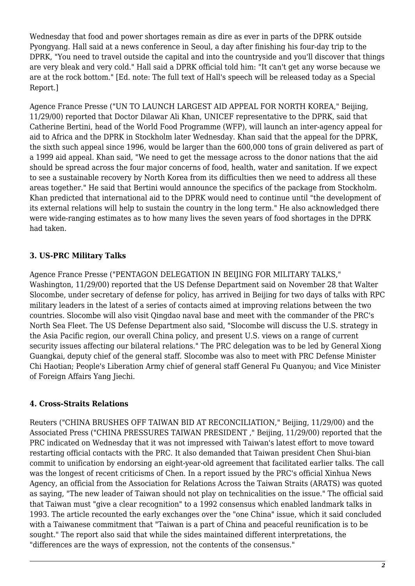Wednesday that food and power shortages remain as dire as ever in parts of the DPRK outside Pyongyang. Hall said at a news conference in Seoul, a day after finishing his four-day trip to the DPRK, "You need to travel outside the capital and into the countryside and you'll discover that things are very bleak and very cold." Hall said a DPRK official told him: "It can't get any worse because we are at the rock bottom." [Ed. note: The full text of Hall's speech will be released today as a Special Report.]

Agence France Presse ("UN TO LAUNCH LARGEST AID APPEAL FOR NORTH KOREA," Beijing, 11/29/00) reported that Doctor Dilawar Ali Khan, UNICEF representative to the DPRK, said that Catherine Bertini, head of the World Food Programme (WFP), will launch an inter-agency appeal for aid to Africa and the DPRK in Stockholm later Wednesday. Khan said that the appeal for the DPRK, the sixth such appeal since 1996, would be larger than the 600,000 tons of grain delivered as part of a 1999 aid appeal. Khan said, "We need to get the message across to the donor nations that the aid should be spread across the four major concerns of food, health, water and sanitation. If we expect to see a sustainable recovery by North Korea from its difficulties then we need to address all these areas together." He said that Bertini would announce the specifics of the package from Stockholm. Khan predicted that international aid to the DPRK would need to continue until "the development of its external relations will help to sustain the country in the long term." He also acknowledged there were wide-ranging estimates as to how many lives the seven years of food shortages in the DPRK had taken.

# <span id="page-1-0"></span>**3. US-PRC Military Talks**

Agence France Presse ("PENTAGON DELEGATION IN BEIJING FOR MILITARY TALKS," Washington, 11/29/00) reported that the US Defense Department said on November 28 that Walter Slocombe, under secretary of defense for policy, has arrived in Beijing for two days of talks with RPC military leaders in the latest of a series of contacts aimed at improving relations between the two countries. Slocombe will also visit Qingdao naval base and meet with the commander of the PRC's North Sea Fleet. The US Defense Department also said, "Slocombe will discuss the U.S. strategy in the Asia Pacific region, our overall China policy, and present U.S. views on a range of current security issues affecting our bilateral relations." The PRC delegation was to be led by General Xiong Guangkai, deputy chief of the general staff. Slocombe was also to meet with PRC Defense Minister Chi Haotian; People's Liberation Army chief of general staff General Fu Quanyou; and Vice Minister of Foreign Affairs Yang Jiechi.

# <span id="page-1-1"></span>**4. Cross-Straits Relations**

<span id="page-1-2"></span>Reuters ("CHINA BRUSHES OFF TAIWAN BID AT RECONCILIATION," Beijing, 11/29/00) and the Associated Press ("CHINA PRESSURES TAIWAN PRESIDENT ," Beijing, 11/29/00) reported that the PRC indicated on Wednesday that it was not impressed with Taiwan's latest effort to move toward restarting official contacts with the PRC. It also demanded that Taiwan president Chen Shui-bian commit to unification by endorsing an eight-year-old agreement that facilitated earlier talks. The call was the longest of recent criticisms of Chen. In a report issued by the PRC's official Xinhua News Agency, an official from the Association for Relations Across the Taiwan Straits (ARATS) was quoted as saying, "The new leader of Taiwan should not play on technicalities on the issue." The official said that Taiwan must "give a clear recognition" to a 1992 consensus which enabled landmark talks in 1993. The article recounted the early exchanges over the "one China" issue, which it said concluded with a Taiwanese commitment that "Taiwan is a part of China and peaceful reunification is to be sought." The report also said that while the sides maintained different interpretations, the "differences are the ways of expression, not the contents of the consensus."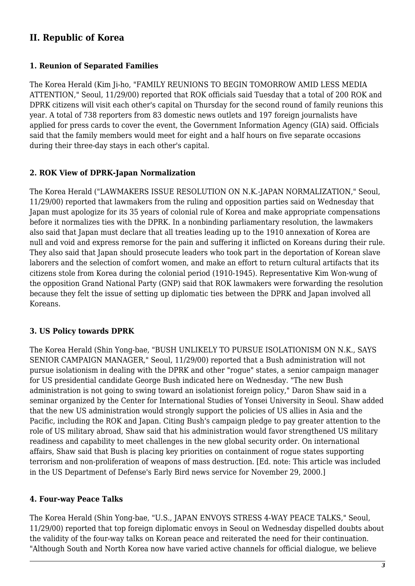# **II. Republic of Korea**

### <span id="page-2-0"></span>**1. Reunion of Separated Families**

The Korea Herald (Kim Ji-ho, "FAMILY REUNIONS TO BEGIN TOMORROW AMID LESS MEDIA ATTENTION," Seoul, 11/29/00) reported that ROK officials said Tuesday that a total of 200 ROK and DPRK citizens will visit each other's capital on Thursday for the second round of family reunions this year. A total of 738 reporters from 83 domestic news outlets and 197 foreign journalists have applied for press cards to cover the event, the Government Information Agency (GIA) said. Officials said that the family members would meet for eight and a half hours on five separate occasions during their three-day stays in each other's capital.

## <span id="page-2-1"></span>**2. ROK View of DPRK-Japan Normalization**

The Korea Herald ("LAWMAKERS ISSUE RESOLUTION ON N.K.-JAPAN NORMALIZATION," Seoul, 11/29/00) reported that lawmakers from the ruling and opposition parties said on Wednesday that Japan must apologize for its 35 years of colonial rule of Korea and make appropriate compensations before it normalizes ties with the DPRK. In a nonbinding parliamentary resolution, the lawmakers also said that Japan must declare that all treaties leading up to the 1910 annexation of Korea are null and void and express remorse for the pain and suffering it inflicted on Koreans during their rule. They also said that Japan should prosecute leaders who took part in the deportation of Korean slave laborers and the selection of comfort women, and make an effort to return cultural artifacts that its citizens stole from Korea during the colonial period (1910-1945). Representative Kim Won-wung of the opposition Grand National Party (GNP) said that ROK lawmakers were forwarding the resolution because they felt the issue of setting up diplomatic ties between the DPRK and Japan involved all Koreans.

# <span id="page-2-2"></span>**3. US Policy towards DPRK**

The Korea Herald (Shin Yong-bae, "BUSH UNLIKELY TO PURSUE ISOLATIONISM ON N.K., SAYS SENIOR CAMPAIGN MANAGER," Seoul, 11/29/00) reported that a Bush administration will not pursue isolationism in dealing with the DPRK and other "rogue" states, a senior campaign manager for US presidential candidate George Bush indicated here on Wednesday. "The new Bush administration is not going to swing toward an isolationist foreign policy," Daron Shaw said in a seminar organized by the Center for International Studies of Yonsei University in Seoul. Shaw added that the new US administration would strongly support the policies of US allies in Asia and the Pacific, including the ROK and Japan. Citing Bush's campaign pledge to pay greater attention to the role of US military abroad, Shaw said that his administration would favor strengthened US military readiness and capability to meet challenges in the new global security order. On international affairs, Shaw said that Bush is placing key priorities on containment of rogue states supporting terrorism and non-proliferation of weapons of mass destruction. [Ed. note: This article was included in the US Department of Defense's Early Bird news service for November 29, 2000.]

### <span id="page-2-3"></span>**4. Four-way Peace Talks**

The Korea Herald (Shin Yong-bae, "U.S., JAPAN ENVOYS STRESS 4-WAY PEACE TALKS," Seoul, 11/29/00) reported that top foreign diplomatic envoys in Seoul on Wednesday dispelled doubts about the validity of the four-way talks on Korean peace and reiterated the need for their continuation. "Although South and North Korea now have varied active channels for official dialogue, we believe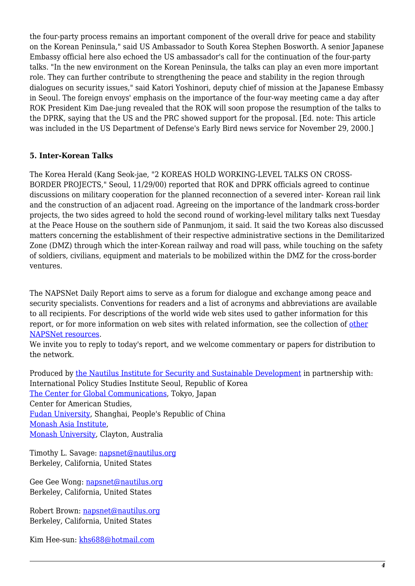the four-party process remains an important component of the overall drive for peace and stability on the Korean Peninsula," said US Ambassador to South Korea Stephen Bosworth. A senior Japanese Embassy official here also echoed the US ambassador's call for the continuation of the four-party talks. "In the new environment on the Korean Peninsula, the talks can play an even more important role. They can further contribute to strengthening the peace and stability in the region through dialogues on security issues," said Katori Yoshinori, deputy chief of mission at the Japanese Embassy in Seoul. The foreign envoys' emphasis on the importance of the four-way meeting came a day after ROK President Kim Dae-jung revealed that the ROK will soon propose the resumption of the talks to the DPRK, saying that the US and the PRC showed support for the proposal. [Ed. note: This article was included in the US Department of Defense's Early Bird news service for November 29, 2000.]

#### <span id="page-3-0"></span>**5. Inter-Korean Talks**

The Korea Herald (Kang Seok-jae, "2 KOREAS HOLD WORKING-LEVEL TALKS ON CROSS-BORDER PROJECTS," Seoul, 11/29/00) reported that ROK and DPRK officials agreed to continue discussions on military cooperation for the planned reconnection of a severed inter- Korean rail link and the construction of an adjacent road. Agreeing on the importance of the landmark cross-border projects, the two sides agreed to hold the second round of working-level military talks next Tuesday at the Peace House on the southern side of Panmunjom, it said. It said the two Koreas also discussed matters concerning the establishment of their respective administrative sections in the Demilitarized Zone (DMZ) through which the inter-Korean railway and road will pass, while touching on the safety of soldiers, civilians, equipment and materials to be mobilized within the DMZ for the cross-border ventures.

The NAPSNet Daily Report aims to serve as a forum for dialogue and exchange among peace and security specialists. Conventions for readers and a list of acronyms and abbreviations are available to all recipients. For descriptions of the world wide web sites used to gather information for this report, or for more information on web sites with related information, see the collection of [other](http://nautilus.org/kiosk/weblinks.html) [NAPSNet resources.](http://nautilus.org/kiosk/weblinks.html)

We invite you to reply to today's report, and we welcome commentary or papers for distribution to the network.

Produced by [the Nautilus Institute for Security and Sustainable Development](http://nautilus.org/admin/about.html) in partnership with: International Policy Studies Institute Seoul, Republic of Korea [The Center for Global Communications](http://aska.glocom.ac.jp/default.html), Tokyo, Japan Center for American Studies, [Fudan University](http://www.fudan.edu.cn/English/nsindex.html), Shanghai, People's Republic of China [Monash Asia Institute,](http://www.adm.monash.edu.au) [Monash University](http://www.monash.edu.au/), Clayton, Australia

Timothy L. Savage: [napsnet@nautilus.org](mailto:napsnet@nautilus.org) Berkeley, California, United States

Gee Gee Wong: [napsnet@nautilus.org](mailto:napsnet@nautilus.org) Berkeley, California, United States

Robert Brown: [napsnet@nautilus.org](mailto:napsnet@nautilus.org) Berkeley, California, United States

Kim Hee-sun: [khs688@hotmail.com](mailto:khs688@hotmail.com)